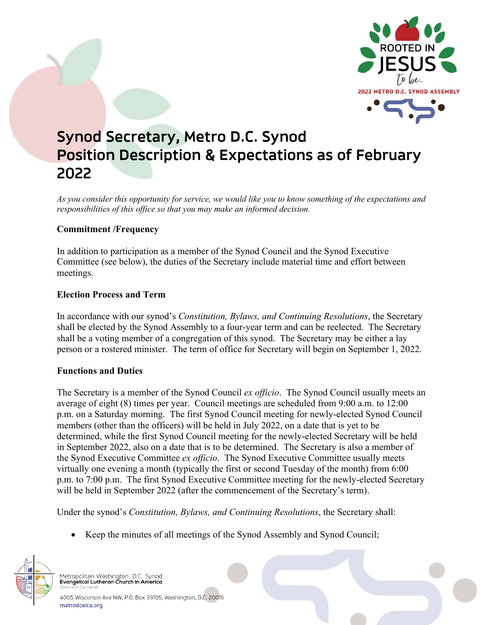

# **Synod Secretary, Metro D.C. Synod Position Description & Expectations as of February 2022**

*As you consider this opportunity for service, we would like you to know something of the expectations and responsibilities of this office so that you may make an informed decision.* 

## **Commitment /Frequency**

In addition to participation as a member of the Synod Council and the Synod Executive Committee (see below), the duties of the Secretary include material time and effort between meetings.

## **Election Process and Term**

In accordance with our synod's *Constitution, Bylaws, and Continuing Resolutions*, the Secretary shall be elected by the Synod Assembly to a four-year term and can be reelected. The Secretary shall be a voting member of a congregation of this synod. The Secretary may be either a lay person or a rostered minister. The term of office for Secretary will begin on September 1, 2022.

## **Functions and Duties**

The Secretary is a member of the Synod Council *ex officio*. The Synod Council usually meets an average of eight (8) times per year. Council meetings are scheduled from 9:00 a.m. to 12:00 p.m. on a Saturday morning. The first Synod Council meeting for newly-elected Synod Council members (other than the officers) will be held in July 2022, on a date that is yet to be determined, while the first Synod Council meeting for the newly-elected Secretary will be held in September 2022, also on a date that is to be determined. The Secretary is also a member of the Synod Executive Committee *ex officio*. The Synod Executive Committee usually meets virtually one evening a month (typically the first or second Tuesday of the month) from 6:00 p.m. to 7:00 p.m. The first Synod Executive Committee meeting for the newly-elected Secretary will be held in September 2022 (after the commencement of the Secretary's term).

Under the synod's *Constitution, Bylaws, and Continuing Resolutions*, the Secretary shall:

• Keep the minutes of all meetings of the Synod Assembly and Synod Council;



Metropolitan Washington, D.C. Synod<br>Evangelical Lutheran Church in America

4005 Wisconsin Ave NW, P.O. Box 39105, Washington, D.C. 20016 metrodcelca.org